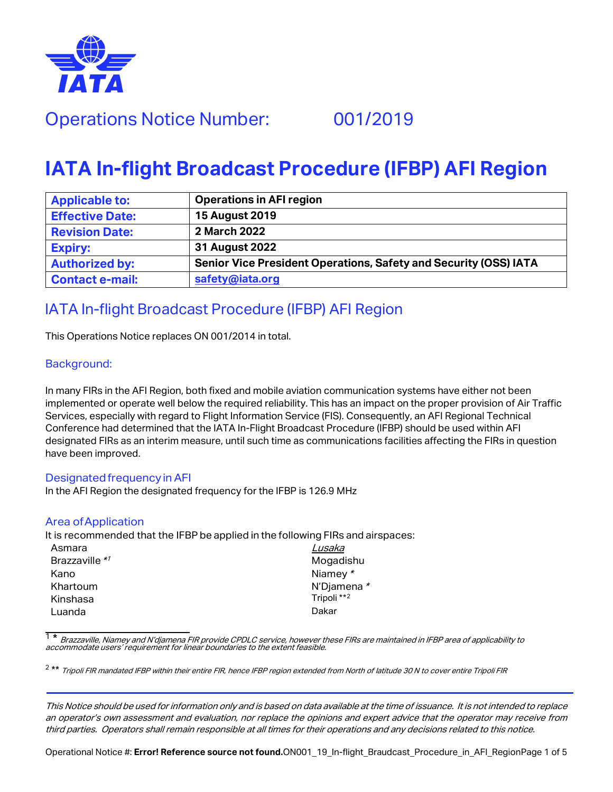

# Operations Notice Number: 001/2019

# **IATA In-flight Broadcast Procedure (IFBP) AFI Region**

| <b>Applicable to:</b>  | <b>Operations in AFI region</b>                                  |
|------------------------|------------------------------------------------------------------|
| <b>Effective Date:</b> | <b>15 August 2019</b>                                            |
| <b>Revision Date:</b>  | 2 March 2022                                                     |
| <b>Expiry:</b>         | 31 August 2022                                                   |
| <b>Authorized by:</b>  | Senior Vice President Operations, Safety and Security (OSS) IATA |
| <b>Contact e-mail:</b> | safety@iata.org                                                  |

## IATA In-flight Broadcast Procedure (IFBP) AFI Region

This Operations Notice replaces ON 001/2014 in total.

#### Background:

In many FIRs in the AFI Region, both fixed and mobile aviation communication systems have either not been implemented or operate well below the required reliability. This has an impact on the proper provision of Air Traffic Services, especially with regard to Flight Information Service (FIS). Consequently, an AFI Regional Technical Conference had determined that the IATA In-Flight Broadcast Procedure (IFBP) should be used within AFI designated FIRs as an interim measure, until such time as communications facilities affecting the FIRs in question have been improved.

#### Designated frequency inAFI

In the AFI Region the designated frequency for the IFBP is 126.9 MHz

#### Area ofApplication

It is recommended that the IFBP be applied in the following FIRs and airspaces:

| Asmara         | Lusaka                 |
|----------------|------------------------|
| Brazzaville *1 | Mogadishu              |
| Kano           | Niamey *               |
| Khartoum       | N'Djamena *            |
| Kinshasa       | Tripoli <sup>**2</sup> |
| Luanda         | Dakar                  |

<span id="page-0-0"></span><sup>1 \*</sup> Brazzaville, Niamey and N'djamena FIR provide CPDLC service, however these FIRs are maintained in IFBP area of applicability to<br>accommodate users' requirement for linear boundaries to the extent feasible.

<span id="page-0-1"></span><sup>2 \*\*</sup> Tripoli FIR mandated IFBP within their entire FIR, hence IFBP region extended from North of latitude 30 N to cover entire Tripoli FIR

This Notice should be used for information only and is based on data available at the time of issuance. It is not intended to replace an operator's own assessment and evaluation, nor replace the opinions and expert advice that the operator may receive from third parties. Operators shall remain responsible at all times for their operations and any decisions related to this notice.

Operational Notice #: **Error! Reference source not found.**ON001\_19\_In-flight\_Braudcast\_Procedure\_in\_AFI\_RegionPage 1 of 5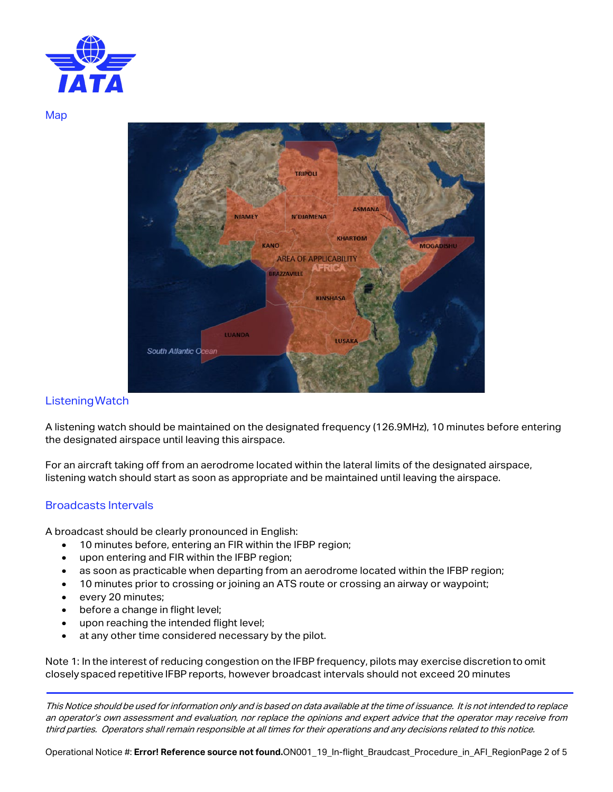

Map



#### Listening Watch

A listening watch should be maintained on the designated frequency (126.9MHz), 10 minutes before entering the designated airspace until leaving this airspace.

For an aircraft taking off from an aerodrome located within the lateral limits of the designated airspace, listening watch should start as soon as appropriate and be maintained until leaving the airspace.

#### Broadcasts Intervals

A broadcast should be clearly pronounced in English:

- 10 minutes before, entering an FIR within the IFBP region;
- upon entering and FIR within the IFBP region;
- as soon as practicable when departing from an aerodrome located within the IFBP region;
- 10 minutes prior to crossing or joining an ATS route or crossing an airway or waypoint;
- every 20 minutes;
- before a change in flight level;
- upon reaching the intended flight level;<br>• at any other time considered necessary
- at any other time considered necessary by the pilot.

Note 1: In the interest of reducing congestion on the IFBP frequency, pilots may exercise discretion to omit closely spaced repetitive IFBP reports, however broadcast intervals should not exceed 20 minutes

This Notice should be used for information only and is based on data available at the time of issuance. It is not intended to replace an operator's own assessment and evaluation, nor replace the opinions and expert advice that the operator may receive from third parties. Operators shall remain responsible at all times for their operations and any decisions related to this notice.

Operational Notice #: **Error! Reference source not found.**ON001\_19\_In-flight\_Braudcast\_Procedure\_in\_AFI\_RegionPage 2 of 5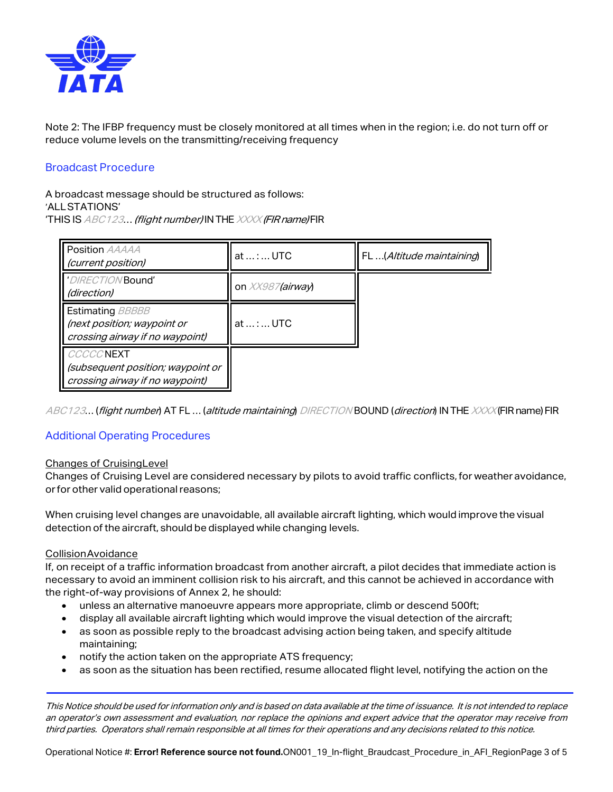

Note 2: The IFBP frequency must be closely monitored at all times when in the region; i.e. do not turn off or reduce volume levels on the transmitting/receiving frequency

#### Broadcast Procedure

A broadcast message should be structured as follows: 'ALLSTATIONS' 'THIS IS ABC123... (flight number) IN THE XXXX (FIR name) FIR

| <b>Position AAAAA</b><br>(current position)                                               | at :  UTC        | FL (Altitude maintaining) |
|-------------------------------------------------------------------------------------------|------------------|---------------------------|
| 'DIRECTION Bound'<br>(direction)                                                          | on XX987(airway) |                           |
| <b>Estimating BBBBB</b><br>(next position; waypoint or<br>crossing airway if no waypoint) | at :  UTC        |                           |
| <b>CCCCCNEXT</b><br>(subsequent position; waypoint or<br>crossing airway if no waypoint)  |                  |                           |

ABC123... (flight number) AT FL ... (altitude maintaining) DIRECTION BOUND (direction) IN THE XXXX (FIR name) FIR

#### Additional Operating Procedures

#### Changes of Cruising Level

Changes of Cruising Level are considered necessary by pilots to avoid traffic conflicts,for weather avoidance, or for other valid operational reasons;

When cruising level changes are unavoidable, all available aircraft lighting, which would improve the visual detection of the aircraft, should be displayed while changing levels.

#### CollisionAvoidance

If, on receipt of a traffic information broadcast from another aircraft, a pilot decides that immediate action is necessary to avoid an imminent collision risk to his aircraft, and this cannot be achieved in accordance with the right-of-way provisions of Annex 2, he should:

- unless an alternative manoeuvre appears more appropriate, climb or descend 500ft;
- display all available aircraft lighting which would improve the visual detection of the aircraft;
- as soon as possible reply to the broadcast advising action being taken, and specify altitude maintaining;
- notify the action taken on the appropriate ATS frequency;
- as soon as the situation has been rectified, resume allocated flight level, notifying the action on the

This Notice should be used for information only and is based on data available at the time of issuance. It is not intended to replace an operator's own assessment and evaluation, nor replace the opinions and expert advice that the operator may receive from third parties. Operators shall remain responsible at all times for their operations and any decisions related to this notice.

Operational Notice #: Error! Reference source not found.ON001\_19\_In-flight\_Braudcast\_Procedure\_in\_AFI\_RegionPage 3 of 5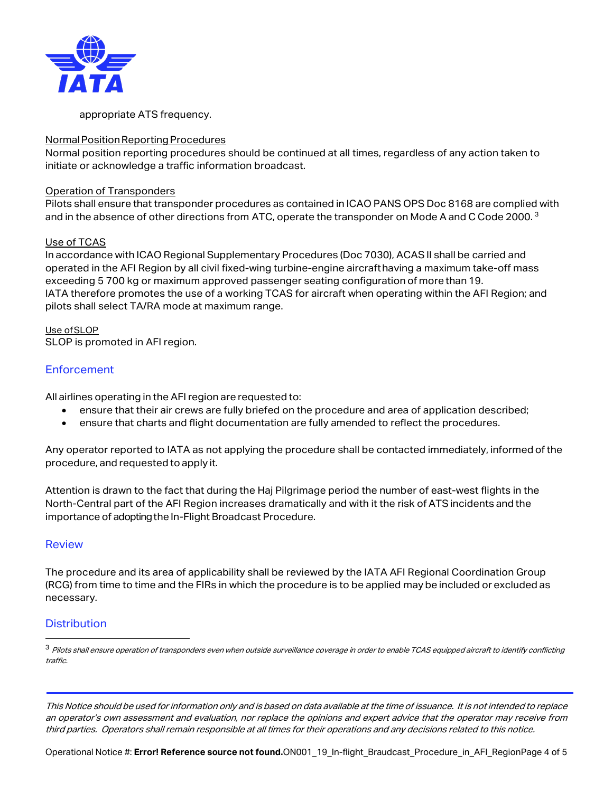

appropriate ATS frequency.

#### Normal Position Reporting Procedures

Normal position reporting procedures should be continued at all times, regardless of any action taken to initiate or acknowledge a traffic information broadcast.

#### Operation of Transponders

Pilots shall ensure that transponder procedures as contained in ICAO PANS OPS Doc 8168 are complied with and in the absence of other directions from ATC, operate the transponder on Mode A and C Code 2000.<sup>[3](#page-3-0)</sup>

#### Use of TCAS

In accordance with ICAO Regional Supplementary Procedures (Doc 7030), ACAS II shall be carried and operated in the AFI Region by all civil fixed-wing turbine-engine aircrafthaving a maximum take-off mass exceeding 5 700 kg or maximum approved passenger seating configuration of more than 19. IATA therefore promotes the use of a working TCAS for aircraft when operating within the AFI Region; and pilots shall select TA/RA mode at maximum range.

Use ofSLOP SLOP is promoted in AFI region.

### **Enforcement**

All airlines operating in the AFI region are requested to:

- ensure that their air crews are fully briefed on the procedure and area of application described;
- ensure that charts and flight documentation are fully amended to reflect the procedures.

Any operator reported to IATA as not applying the procedure shall be contacted immediately, informed of the procedure, and requested to apply it.

Attention is drawn to the fact that during the Haj Pilgrimage period the number of east-west flights in the North-Central part of the AFI Region increases dramatically and with it the risk of ATSincidents and the importance of adopting the In-Flight Broadcast Procedure.

#### Review

The procedure and its area of applicability shall be reviewed by the IATA AFI Regional Coordination Group (RCG) from time to time and the FIRs in which the procedure is to be applied may be included or excluded as necessary.

#### **Distribution**

Operational Notice #: Error! Reference source not found.ON001\_19\_In-flight\_Braudcast\_Procedure\_in\_AFI\_RegionPage 4 of 5

<span id="page-3-0"></span><sup>&</sup>lt;sup>3</sup> Pilots shall ensure operation of transponders even when outside surveillance coverage in order to enable TCAS equipped aircraft to identify conflicting traffic.

This Notice should be used for information only and is based on data available at the time of issuance. It is not intended to replace an operator's own assessment and evaluation, nor replace the opinions and expert advice that the operator may receive from third parties. Operators shall remain responsible at all times for their operations and any decisions related to this notice.